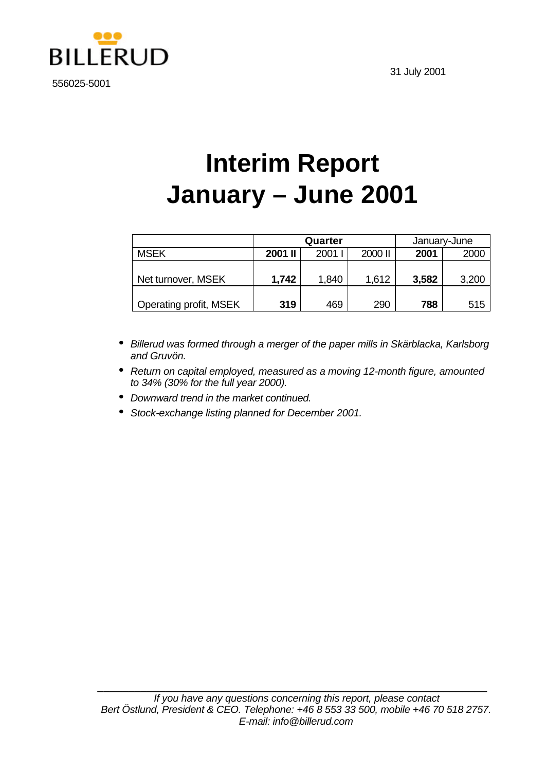



556025-5001

# **Interim Report January – June 2001**

|                        | Quarter |       |         | January-June |       |  |
|------------------------|---------|-------|---------|--------------|-------|--|
| <b>MSEK</b>            | 2001 II | 2001  | 2000 II | 2001         | 2000  |  |
| Net turnover, MSEK     | 1,742   | 1,840 | 1,612   | 3,582        | 3,200 |  |
| Operating profit, MSEK | 319     | 469   | 290     | 788          | 515   |  |

- *Billerud was formed through a merger of the paper mills in Skärblacka, Karlsborg and Gruvön.*
- *Return on capital employed, measured as a moving 12-month figure, amounted to 34% (30% for the full year 2000).*
- *Downward trend in the market continued.*
- *Stock-exchange listing planned for December 2001.*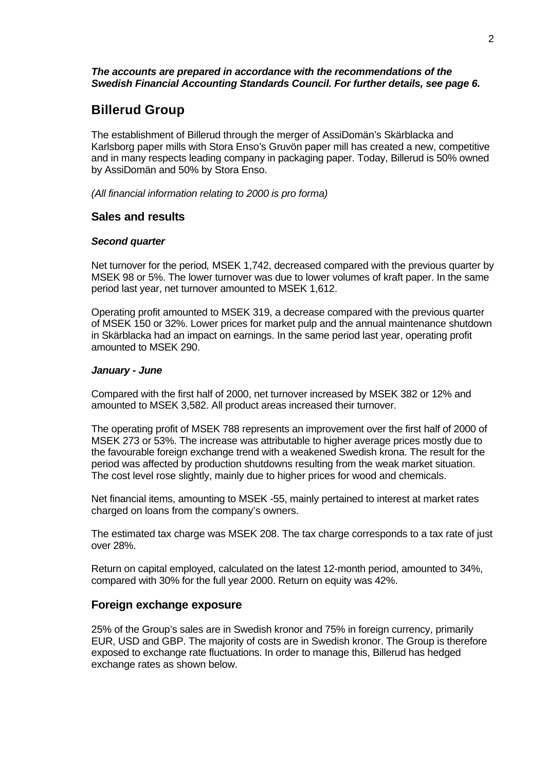#### *The accounts are prepared in accordance with the recommendations of the Swedish Financial Accounting Standards Council. For further details, see page 6.*

## **Billerud Group**

The establishment of Billerud through the merger of AssiDomän's Skärblacka and Karlsborg paper mills with Stora Enso's Gruvön paper mill has created a new, competitive and in many respects leading company in packaging paper. Today, Billerud is 50% owned by AssiDomän and 50% by Stora Enso.

*(All financial information relating to 2000 is pro forma)*

### **Sales and results**

#### *Second quarter*

Net turnover for the period*,* MSEK 1,742, decreased compared with the previous quarter by MSEK 98 or 5%. The lower turnover was due to lower volumes of kraft paper. In the same period last year, net turnover amounted to MSEK 1,612.

Operating profit amounted to MSEK 319, a decrease compared with the previous quarter of MSEK 150 or 32%. Lower prices for market pulp and the annual maintenance shutdown in Skärblacka had an impact on earnings. In the same period last year, operating profit amounted to MSEK 290.

#### *January - June*

Compared with the first half of 2000, net turnover increased by MSEK 382 or 12% and amounted to MSEK 3,582. All product areas increased their turnover.

The operating profit of MSEK 788 represents an improvement over the first half of 2000 of MSEK 273 or 53%. The increase was attributable to higher average prices mostly due to the favourable foreign exchange trend with a weakened Swedish krona. The result for the period was affected by production shutdowns resulting from the weak market situation. The cost level rose slightly, mainly due to higher prices for wood and chemicals.

Net financial items, amounting to MSEK -55, mainly pertained to interest at market rates charged on loans from the company's owners.

The estimated tax charge was MSEK 208. The tax charge corresponds to a tax rate of just over 28%.

Return on capital employed, calculated on the latest 12-month period, amounted to 34%, compared with 30% for the full year 2000. Return on equity was 42%.

### **Foreign exchange exposure**

25% of the Group's sales are in Swedish kronor and 75% in foreign currency, primarily EUR, USD and GBP. The majority of costs are in Swedish kronor. The Group is therefore exposed to exchange rate fluctuations. In order to manage this, Billerud has hedged exchange rates as shown below.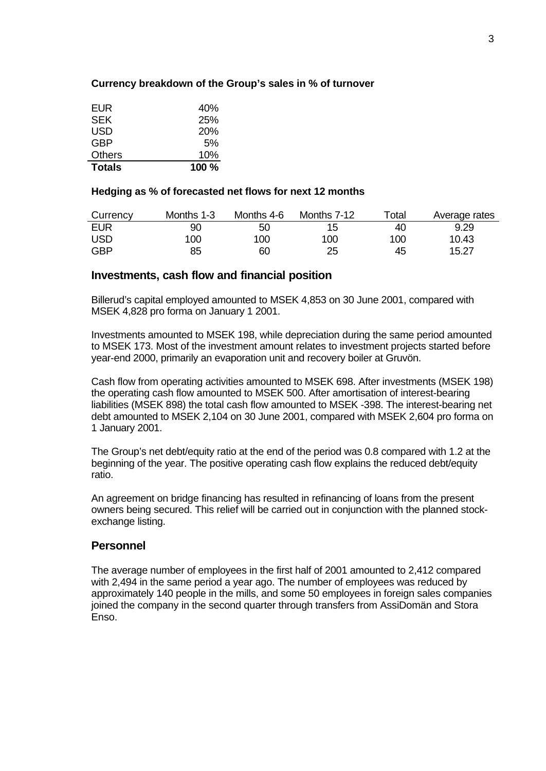#### **Currency breakdown of the Group's sales in % of turnover**

| <b>Totals</b> | 100% |
|---------------|------|
| <b>Others</b> | 10%  |
| <b>GBP</b>    | 5%   |
| USD           | 20%  |
| <b>SEK</b>    | 25%  |
| EUR           | 40%  |

#### **Hedging as % of forecasted net flows for next 12 months**

| Currency   | Months 1-3 | Months 4-6 | Months 7-12 | $\mathop{\mathsf{Total}}$ | Average rates |
|------------|------------|------------|-------------|---------------------------|---------------|
| <b>EUR</b> | 90         | 50         | 15          | 40                        | 9.29          |
| <b>USD</b> | 100        | 100        | 100         | 100                       | 10.43         |
| <b>GBP</b> | 85         | 60         | 25          | 45                        | 15.27         |

#### **Investments, cash flow and financial position**

Billerud's capital employed amounted to MSEK 4,853 on 30 June 2001, compared with MSEK 4,828 pro forma on January 1 2001.

Investments amounted to MSEK 198, while depreciation during the same period amounted to MSEK 173. Most of the investment amount relates to investment projects started before year-end 2000, primarily an evaporation unit and recovery boiler at Gruvön.

Cash flow from operating activities amounted to MSEK 698. After investments (MSEK 198) the operating cash flow amounted to MSEK 500. After amortisation of interest-bearing liabilities (MSEK 898) the total cash flow amounted to MSEK -398. The interest-bearing net debt amounted to MSEK 2,104 on 30 June 2001, compared with MSEK 2,604 pro forma on 1 January 2001.

The Group's net debt/equity ratio at the end of the period was 0.8 compared with 1.2 at the beginning of the year. The positive operating cash flow explains the reduced debt/equity ratio.

An agreement on bridge financing has resulted in refinancing of loans from the present owners being secured. This relief will be carried out in conjunction with the planned stockexchange listing.

#### **Personnel**

The average number of employees in the first half of 2001 amounted to 2,412 compared with 2,494 in the same period a year ago. The number of employees was reduced by approximately 140 people in the mills, and some 50 employees in foreign sales companies joined the company in the second quarter through transfers from AssiDomän and Stora Enso.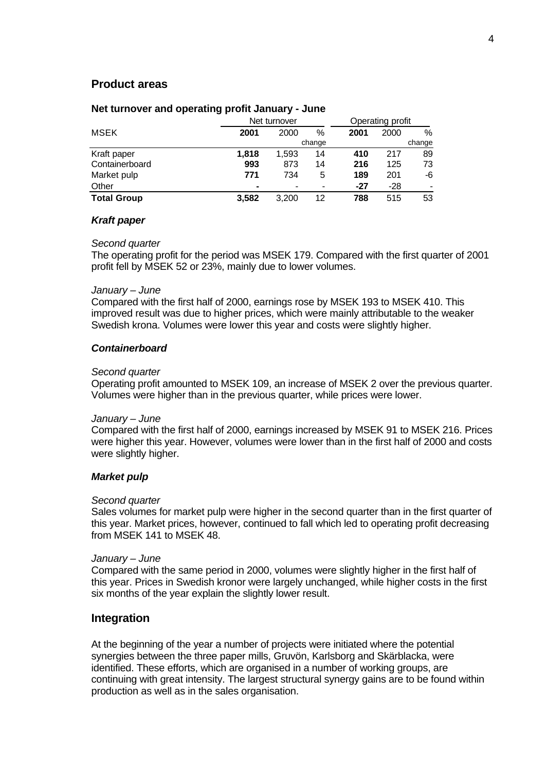#### **Product areas**

#### **Net turnover and operating profit January - June**

|                    |                | Net turnover |    |       | Operating profit |                          |  |  |
|--------------------|----------------|--------------|----|-------|------------------|--------------------------|--|--|
| <b>MSEK</b>        | 2001<br>2000   |              | %  | 2001  | 2000             | %                        |  |  |
|                    |                | change       |    |       | change           |                          |  |  |
| Kraft paper        | 1,818          | 1.593        | 14 | 410   | 217              | 89                       |  |  |
| Containerboard     | 993            | 873          | 14 | 216   | 125              | 73                       |  |  |
| Market pulp        | 771            | 734          | 5  | 189   | 201              | -6                       |  |  |
| Other              | $\blacksquare$ |              |    | $-27$ | $-28$            | $\overline{\phantom{a}}$ |  |  |
| <b>Total Group</b> | 3,582          | 3.200        | 12 | 788   | 515              | 53                       |  |  |

#### *Kraft paper*

#### *Second quarter*

The operating profit for the period was MSEK 179. Compared with the first quarter of 2001 profit fell by MSEK 52 or 23%, mainly due to lower volumes.

#### *January – June*

Compared with the first half of 2000, earnings rose by MSEK 193 to MSEK 410. This improved result was due to higher prices, which were mainly attributable to the weaker Swedish krona. Volumes were lower this year and costs were slightly higher.

#### *Containerboard*

#### *Second quarter*

Operating profit amounted to MSEK 109, an increase of MSEK 2 over the previous quarter. Volumes were higher than in the previous quarter, while prices were lower.

#### *January – June*

Compared with the first half of 2000, earnings increased by MSEK 91 to MSEK 216. Prices were higher this year. However, volumes were lower than in the first half of 2000 and costs were slightly higher.

#### *Market pulp*

#### *Second quarter*

Sales volumes for market pulp were higher in the second quarter than in the first quarter of this year. Market prices, however, continued to fall which led to operating profit decreasing from MSEK 141 to MSEK 48.

#### *January – June*

Compared with the same period in 2000, volumes were slightly higher in the first half of this year. Prices in Swedish kronor were largely unchanged, while higher costs in the first six months of the year explain the slightly lower result.

#### **Integration**

At the beginning of the year a number of projects were initiated where the potential synergies between the three paper mills, Gruvön, Karlsborg and Skärblacka, were identified. These efforts, which are organised in a number of working groups, are continuing with great intensity. The largest structural synergy gains are to be found within production as well as in the sales organisation.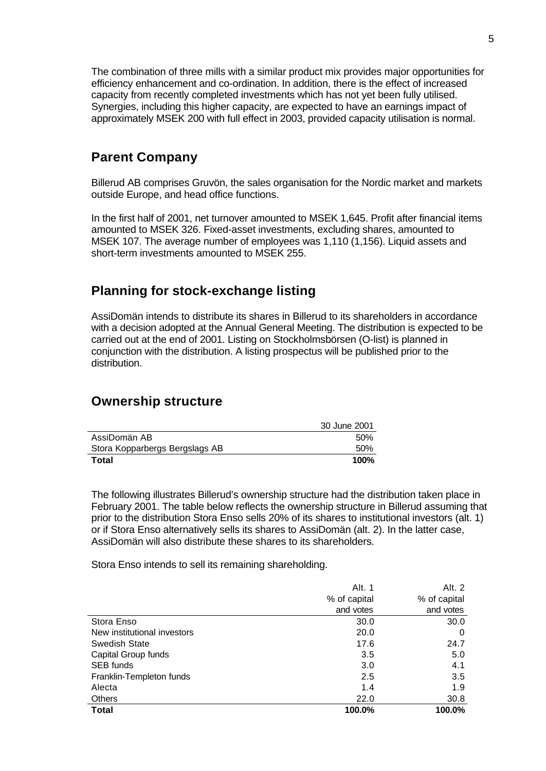The combination of three mills with a similar product mix provides major opportunities for efficiency enhancement and co-ordination. In addition, there is the effect of increased capacity from recently completed investments which has not yet been fully utilised. Synergies, including this higher capacity, are expected to have an earnings impact of approximately MSEK 200 with full effect in 2003, provided capacity utilisation is normal.

## **Parent Company**

Billerud AB comprises Gruvön, the sales organisation for the Nordic market and markets outside Europe, and head office functions.

In the first half of 2001, net turnover amounted to MSEK 1,645. Profit after financial items amounted to MSEK 326. Fixed-asset investments, excluding shares, amounted to MSEK 107. The average number of employees was 1,110 (1,156). Liquid assets and short-term investments amounted to MSEK 255.

## **Planning for stock-exchange listing**

AssiDomän intends to distribute its shares in Billerud to its shareholders in accordance with a decision adopted at the Annual General Meeting. The distribution is expected to be carried out at the end of 2001. Listing on Stockholmsbörsen (O-list) is planned in conjunction with the distribution. A listing prospectus will be published prior to the distribution.

## **Ownership structure**

|                                | 30 June 2001 |
|--------------------------------|--------------|
| AssiDomän AB                   | 50%          |
| Stora Kopparbergs Bergslags AB | 50%          |
| Total                          | 100%         |

The following illustrates Billerud's ownership structure had the distribution taken place in February 2001. The table below reflects the ownership structure in Billerud assuming that prior to the distribution Stora Enso sells 20% of its shares to institutional investors (alt. 1) or if Stora Enso alternatively sells its shares to AssiDomän (alt. 2). In the latter case, AssiDomän will also distribute these shares to its shareholders.

Stora Enso intends to sell its remaining shareholding.

|                             | Alt. 1       | Alt. 2       |
|-----------------------------|--------------|--------------|
|                             | % of capital | % of capital |
|                             | and votes    | and votes    |
| Stora Enso                  | 30.0         | 30.0         |
| New institutional investors | 20.0         | 0            |
| Swedish State               | 17.6         | 24.7         |
| Capital Group funds         | 3.5          | 5.0          |
| <b>SEB</b> funds            | 3.0          | 4.1          |
| Franklin-Templeton funds    | 2.5          | 3.5          |
| Alecta                      | 1.4          | 1.9          |
| Others                      | 22.0         | 30.8         |
| <b>Total</b>                | 100.0%       | 100.0%       |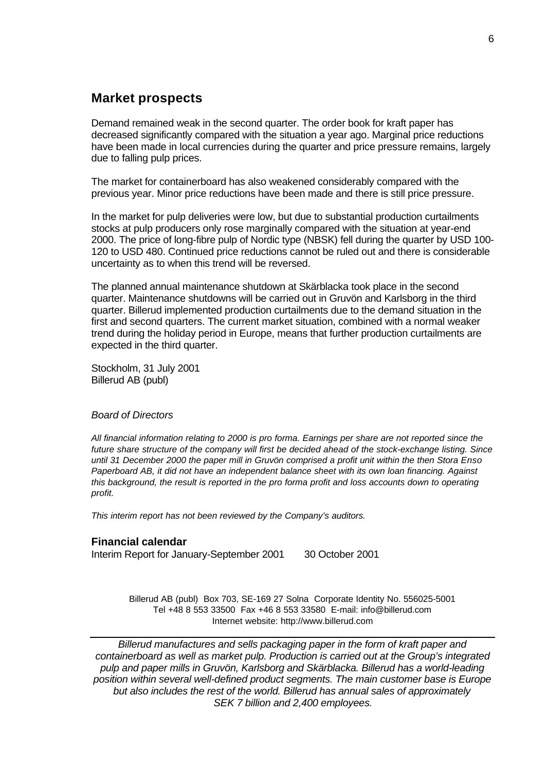## **Market prospects**

Demand remained weak in the second quarter. The order book for kraft paper has decreased significantly compared with the situation a year ago. Marginal price reductions have been made in local currencies during the quarter and price pressure remains, largely due to falling pulp prices.

The market for containerboard has also weakened considerably compared with the previous year. Minor price reductions have been made and there is still price pressure.

In the market for pulp deliveries were low, but due to substantial production curtailments stocks at pulp producers only rose marginally compared with the situation at year-end 2000. The price of long-fibre pulp of Nordic type (NBSK) fell during the quarter by USD 100- 120 to USD 480. Continued price reductions cannot be ruled out and there is considerable uncertainty as to when this trend will be reversed.

The planned annual maintenance shutdown at Skärblacka took place in the second quarter. Maintenance shutdowns will be carried out in Gruvön and Karlsborg in the third quarter. Billerud implemented production curtailments due to the demand situation in the first and second quarters. The current market situation, combined with a normal weaker trend during the holiday period in Europe, means that further production curtailments are expected in the third quarter.

Stockholm, 31 July 2001 Billerud AB (publ)

#### *Board of Directors*

*All financial information relating to 2000 is pro forma. Earnings per share are not reported since the future share structure of the company will first be decided ahead of the stock-exchange listing. Since until 31 December 2000 the paper mill in Gruvön comprised a profit unit within the then Stora Enso Paperboard AB, it did not have an independent balance sheet with its own loan financing. Against this background, the result is reported in the pro forma profit and loss accounts down to operating profit.*

*This interim report has not been reviewed by the Company's auditors.*

#### **Financial calendar**

Interim Report for January-September 2001 30 October 2001

Billerud AB (publ) Box 703, SE-169 27 Solna Corporate Identity No. 556025-5001 Tel +48 8 553 33500 Fax +46 8 553 33580 E-mail: info@billerud.com Internet website: http://www.billerud.com

*Billerud manufactures and sells packaging paper in the form of kraft paper and containerboard as well as market pulp. Production is carried out at the Group's integrated pulp and paper mills in Gruvön, Karlsborg and Skärblacka. Billerud has a world-leading position within several well-defined product segments. The main customer base is Europe but also includes the rest of the world. Billerud has annual sales of approximately SEK 7 billion and 2,400 employees.*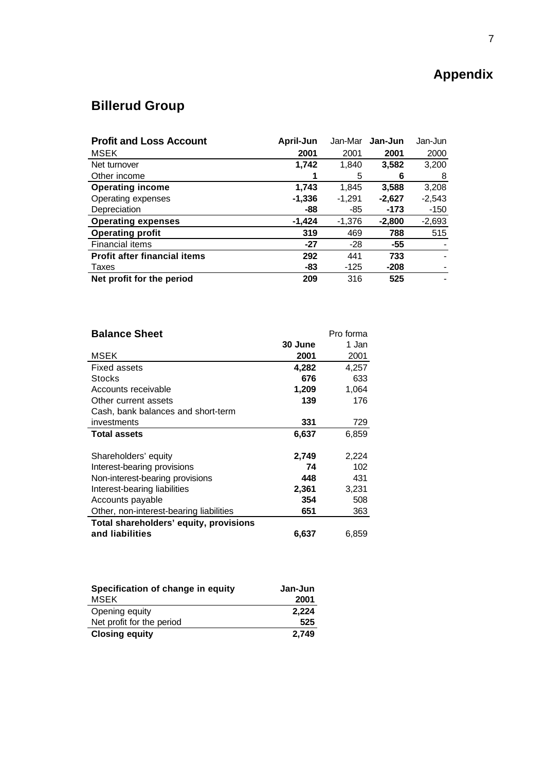## **Appendix**

## **Billerud Group**

| <b>Profit and Loss Account</b>      | April-Jun | Jan-Mar  | Jan-Jun  | Jan-Jun  |
|-------------------------------------|-----------|----------|----------|----------|
| <b>MSEK</b>                         | 2001      | 2001     | 2001     | 2000     |
| Net turnover                        | 1,742     | 1,840    | 3,582    | 3,200    |
| Other income                        |           | 5        | 6        | 8        |
| <b>Operating income</b>             | 1.743     | 1.845    | 3,588    | 3,208    |
| Operating expenses                  | $-1,336$  | $-1,291$ | $-2,627$ | $-2,543$ |
| Depreciation                        | -88       | -85      | $-173$   | $-150$   |
| <b>Operating expenses</b>           | $-1,424$  | $-1,376$ | $-2,800$ | $-2,693$ |
| <b>Operating profit</b>             | 319       | 469      | 788      | 515      |
| Financial items                     | $-27$     | $-28$    | -55      |          |
| <b>Profit after financial items</b> | 292       | 441      | 733      |          |
| Taxes                               | -83       | -125     | $-208$   |          |
| Net profit for the period           | 209       | 316      | 525      |          |

| <b>Balance Sheet</b>                    |         | Pro forma |
|-----------------------------------------|---------|-----------|
|                                         | 30 June | 1 Jan     |
| MSEK                                    | 2001    | 2001      |
| <b>Fixed assets</b>                     | 4,282   | 4,257     |
| <b>Stocks</b>                           | 676     | 633       |
| Accounts receivable                     | 1,209   | 1,064     |
| Other current assets                    | 139     | 176       |
| Cash, bank balances and short-term      |         |           |
| investments                             | 331     | 729       |
| <b>Total assets</b>                     | 6,637   | 6,859     |
| Shareholders' equity                    | 2,749   | 2,224     |
| Interest-bearing provisions             | 74      | 102       |
| Non-interest-bearing provisions         | 448     | 431       |
| Interest-bearing liabilities            | 2,361   | 3,231     |
| Accounts payable                        | 354     | 508       |
| Other, non-interest-bearing liabilities | 651     | 363       |
| Total shareholders' equity, provisions  |         |           |
| and liabilities                         | 6,637   | 6,859     |

| Specification of change in equity | Jan-Jun |
|-----------------------------------|---------|
| <b>MSEK</b>                       | 2001    |
| Opening equity                    | 2,224   |
| Net profit for the period         | 525     |
| <b>Closing equity</b>             | 2.749   |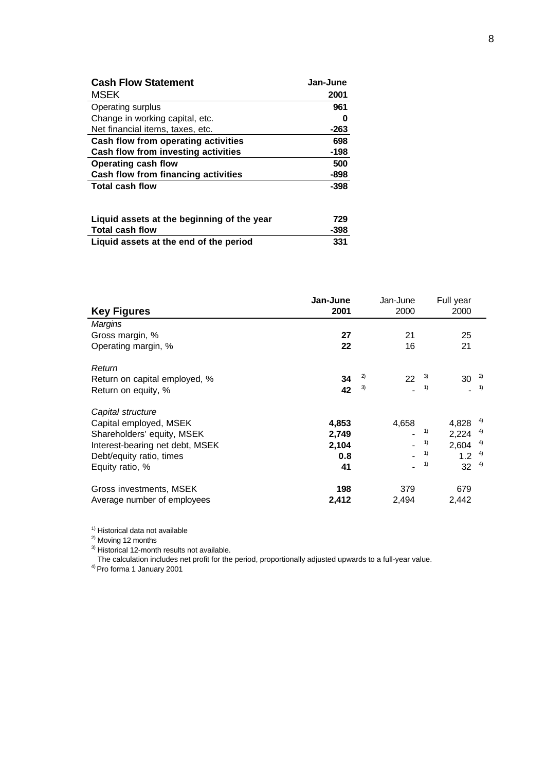| <b>Cash Flow Statement</b>          | Jan-June |
|-------------------------------------|----------|
| <b>MSEK</b>                         | 2001     |
| Operating surplus                   | 961      |
| Change in working capital, etc.     | 0        |
| Net financial items, taxes, etc.    | $-263$   |
| Cash flow from operating activities | 698      |
| Cash flow from investing activities | $-198$   |
| <b>Operating cash flow</b>          | 500      |
| Cash flow from financing activities | $-898$   |
| <b>Total cash flow</b>              | $-398$   |

| Liquid assets at the beginning of the year | 729    |
|--------------------------------------------|--------|
| <b>Total cash flow</b>                     | $-398$ |
| Liquid assets at the end of the period     | 331    |

| <b>Key Figures</b>                                                                                                                                          | Jan-June<br>2001                     |          | Jan-June<br>2000 |                      | Full year<br>2000                    |                            |
|-------------------------------------------------------------------------------------------------------------------------------------------------------------|--------------------------------------|----------|------------------|----------------------|--------------------------------------|----------------------------|
| <b>Margins</b><br>Gross margin, %<br>Operating margin, %                                                                                                    | 27<br>22                             |          | 21<br>16         |                      | 25<br>21                             |                            |
| Return<br>Return on capital employed, %<br>Return on equity, %                                                                                              | 34<br>42                             | 2)<br>3) | 22               | 3)<br>1)             | 30                                   | 2)<br>1)                   |
| Capital structure<br>Capital employed, MSEK<br>Shareholders' equity, MSEK<br>Interest-bearing net debt, MSEK<br>Debt/equity ratio, times<br>Equity ratio, % | 4,853<br>2,749<br>2,104<br>0.8<br>41 |          | 4,658            | 1)<br>1)<br>1)<br>1) | 4,828<br>2,224<br>2,604<br>1.2<br>32 | 4)<br>4)<br>4)<br>4)<br>4) |
| Gross investments, MSEK<br>Average number of employees                                                                                                      | 198<br>2,412                         |          | 379<br>2,494     |                      | 679<br>2,442                         |                            |

<sup>1)</sup> Historical data not available

<sup>2)</sup> Moving 12 months

 $3)$  Historical 12-month results not available.

The calculation includes net profit for the period, proportionally adjusted upwards to a full-year value.

<sup>4)</sup> Pro forma 1 January 2001